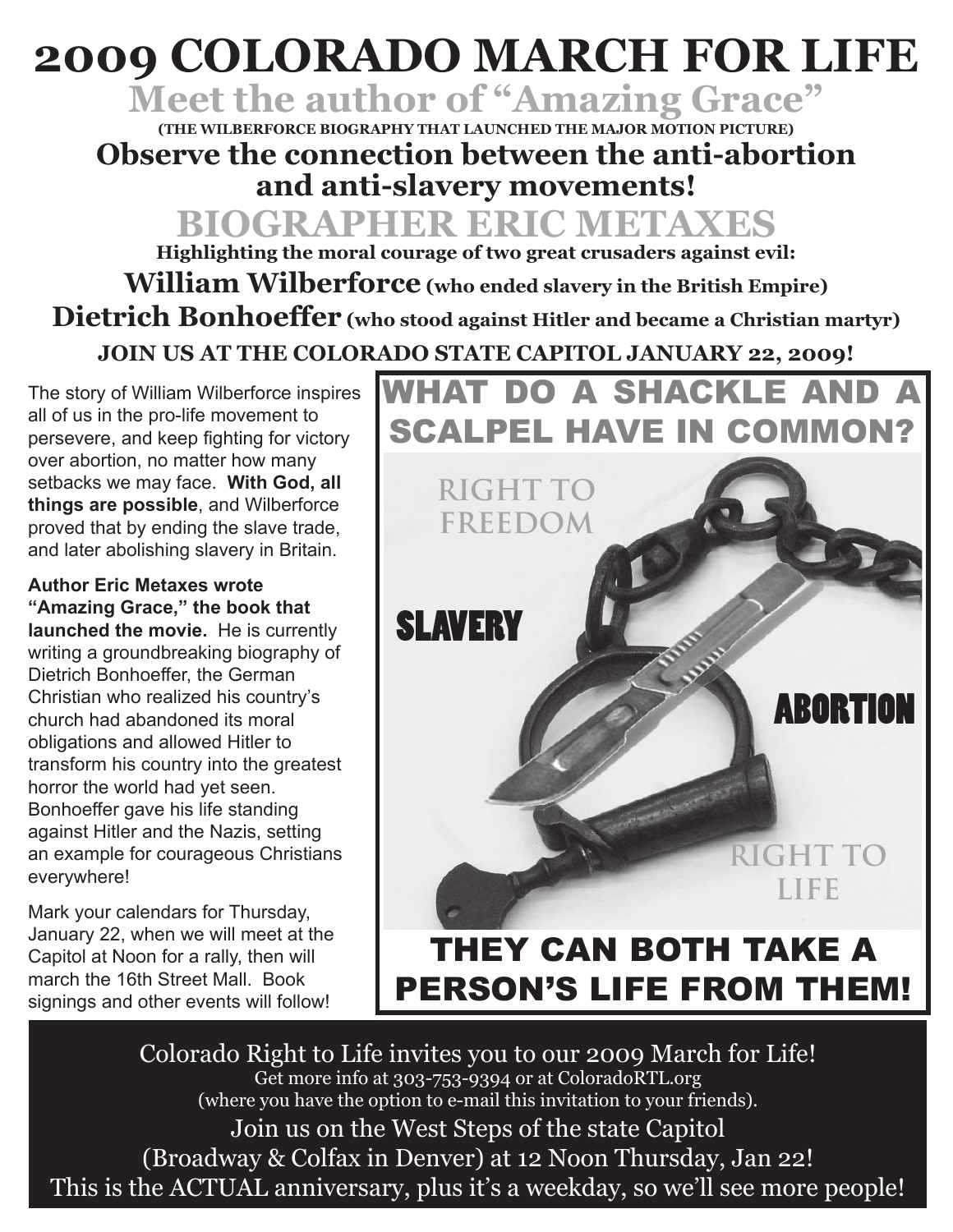## **2009 COLORADO MARCH FOR LIFE**

**Meet the author of "Amazing Grace"**

**(THE WILBERFORCE BIOGRAPHY THAT LAUNCHED THE MAJOR MOTION PICTURE) Observe the connection between the anti-abortion and anti-slavery movements!**

**BIOGRAPHER ERIC METAXES Highlighting the moral courage of two great crusaders against evil: William Wilberforce (who ended slavery in the British Empire) Dietrich Bonhoeffer (who stood against Hitler and became a Christian martyr) JOIN US AT THE COLORADO STATE CAPITOL JANUARY 22, 2009!**

The story of William Wilberforce inspires all of us in the pro-life movement to persevere, and keep fighting for victory over abortion, no matter how many setbacks we may face. **With God, all things are possible**, and Wilberforce proved that by ending the slave trade, and later abolishing slavery in Britain.

**Author Eric Metaxes wrote "Amazing Grace," the book that launched the movie.** He is currently writing a groundbreaking biography of Dietrich Bonhoeffer, the German Christian who realized his country's church had abandoned its moral obligations and allowed Hitler to transform his country into the greatest horror the world had yet seen. Bonhoeffer gave his life standing against Hitler and the Nazis, setting an example for courageous Christians everywhere!

Mark your calendars for Thursday, January 22, when we will meet at the Capitol at Noon for a rally, then will march the 16th Street Mall. Book signings and other events will follow!



Colorado Right to Life invites you to our 2009 March for Life! Get more info at 303-753-9394 or at ColoradoRTL.org (where you have the option to e-mail this invitation to your friends). Join us on the West Steps of the state Capitol (Broadway & Colfax in Denver) at 12 Noon Thursday, Jan 22! This is the ACTUAL anniversary, plus it's a weekday, so we'll see more people!